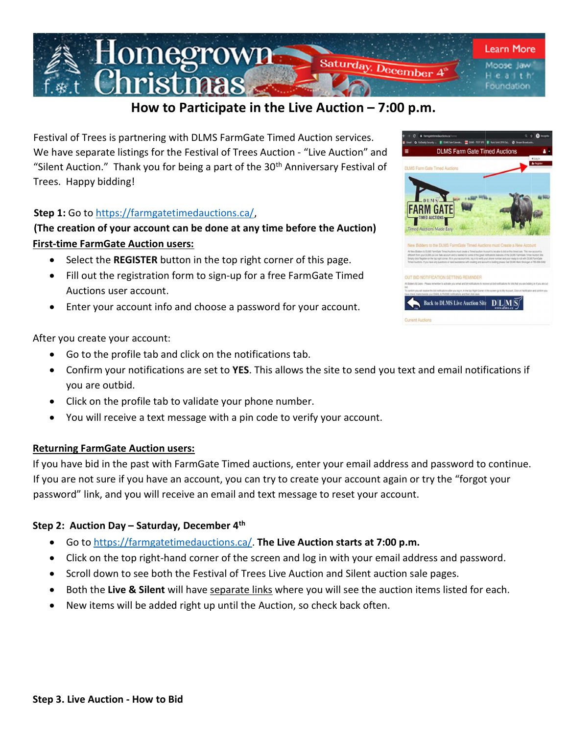

# How to Participate in the Live Auction – 7:00 p.m.

Festival of Trees is partnering with DLMS FarmGate Timed Auction services. We have separate listings for the Festival of Trees Auction - "Live Auction" and "Silent Auction." Thank you for being a part of the  $30<sup>th</sup>$  Anniversary Festival of Trees. Happy bidding!

### Step 1: Go to https://farmgatetimedauctions.ca/,

# (The creation of your account can be done at any time before the Auction) First-time FarmGate Auction users:

- Select the REGISTER button in the top right corner of this page.
- Fill out the registration form to sign-up for a free FarmGate Timed Auctions user account.
- Enter your account info and choose a password for your account.

After you create your account:

- Go to the profile tab and click on the notifications tab.
- Confirm your notifications are set to YES. This allows the site to send you text and email notifications if you are outbid.
- Click on the profile tab to validate your phone number.
- You will receive a text message with a pin code to verify your account.

#### Returning FarmGate Auction users:

If you have bid in the past with FarmGate Timed auctions, enter your email address and password to continue. If you are not sure if you have an account, you can try to create your account again or try the "forgot your password" link, and you will receive an email and text message to reset your account.

### Step 2: Auction Day – Saturday, December 4<sup>th</sup>

- **•** Go to https://farmgatetimedauctions.ca/. The Live Auction starts at 7:00 p.m.
- Click on the top right-hand corner of the screen and log in with your email address and password.
- Scroll down to see both the Festival of Trees Live Auction and Silent auction sale pages.
- **•** Both the Live & Silent will have separate links where you will see the auction items listed for each.
- New items will be added right up until the Auction, so check back often.